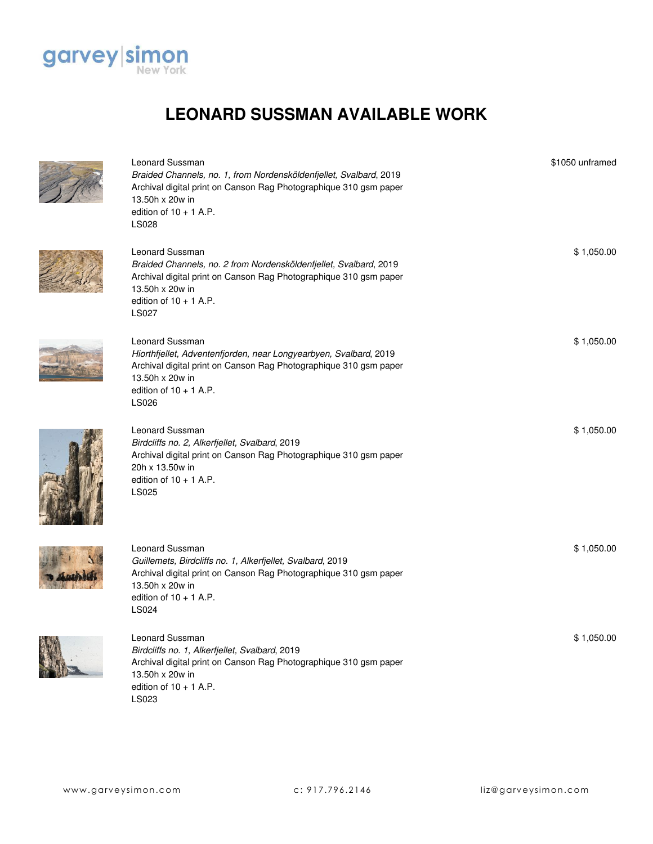

Leonard Sussman

## **LEONARD SUSSMAN AVAILABLE WORK**

| Braided Channels, no. 1, from Nordensköldenfjellet, Svalbard, 2019<br>Archival digital print on Canson Rag Photographique 310 gsm paper<br>13.50h x 20w in<br>edition of $10 + 1$ A.P.<br><b>LS028</b>                   |            |
|--------------------------------------------------------------------------------------------------------------------------------------------------------------------------------------------------------------------------|------------|
| Leonard Sussman<br>Braided Channels, no. 2 from Nordensköldenfjellet, Svalbard, 2019<br>Archival digital print on Canson Rag Photographique 310 gsm paper<br>13.50h x 20w in<br>edition of $10 + 1$ A.P.<br><b>LS027</b> | \$1,050.00 |
| Leonard Sussman<br>Hiorthfjellet, Adventenfjorden, near Longyearbyen, Svalbard, 2019<br>Archival digital print on Canson Rag Photographique 310 gsm paper<br>13.50h x 20w in<br>edition of $10 + 1$ A.P.<br>LS026        | \$1,050.00 |
| <b>Leonard Sussman</b><br>Birdcliffs no. 2, Alkerfjellet, Svalbard, 2019<br>Archival digital print on Canson Rag Photographique 310 gsm paper<br>20h x 13.50w in<br>edition of $10 + 1$ A.P.<br>LS025                    | \$1,050.00 |
| Leonard Sussman<br>Guillemets, Birdcliffs no. 1, Alkerfjellet, Svalbard, 2019<br>Archival digital print on Canson Rag Photographique 310 gsm paper<br>13.50h x 20w in<br>edition of $10 + 1$ A.P.<br>LS024               | \$1,050.00 |
| Leonard Sussman<br>Birdcliffs no. 1, Alkerfjellet, Svalbard, 2019<br>Archival digital print on Canson Rag Photographique 310 gsm paper<br>13.50h x 20w in<br>edition of $10 + 1$ A.P.<br>LS023                           | \$1,050.00 |

\$1050 unframed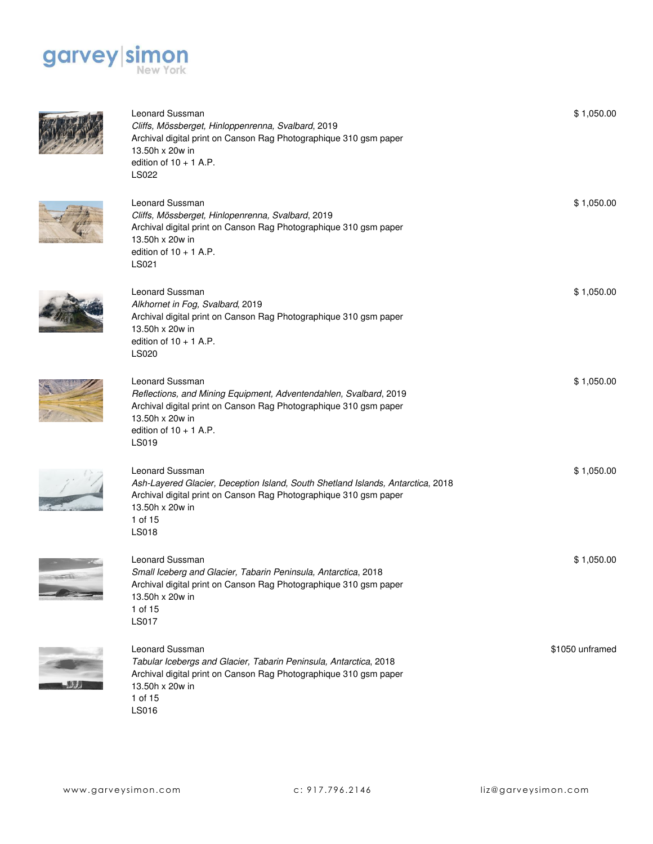



**The Way** 

| <b>Leonard Sussman</b><br>Cliffs, Mössberget, Hinloppenrenna, Svalbard, 2019<br>Archival digital print on Canson Rag Photographique 310 gsm paper<br>13.50h x 20w in<br>edition of $10 + 1$ A.P.<br><b>LS022</b>  | \$1,050.00      |
|-------------------------------------------------------------------------------------------------------------------------------------------------------------------------------------------------------------------|-----------------|
| Leonard Sussman<br>Cliffs, Mössberget, Hinlopenrenna, Svalbard, 2019<br>Archival digital print on Canson Rag Photographique 310 gsm paper<br>13.50h x 20w in<br>edition of $10 + 1$ A.P.<br>LS021                 | \$1,050.00      |
| Leonard Sussman<br>Alkhornet in Fog, Svalbard, 2019<br>Archival digital print on Canson Rag Photographique 310 gsm paper<br>13.50h x 20w in<br>edition of $10 + 1$ A.P.<br><b>LS020</b>                           | \$1,050.00      |
| Leonard Sussman<br>Reflections, and Mining Equipment, Adventendahlen, Svalbard, 2019<br>Archival digital print on Canson Rag Photographique 310 gsm paper<br>13.50h x 20w in<br>edition of $10 + 1$ A.P.<br>LS019 | \$1,050.00      |
| Leonard Sussman<br>Ash-Layered Glacier, Deception Island, South Shetland Islands, Antarctica, 2018<br>Archival digital print on Canson Rag Photographique 310 gsm paper<br>13.50h x 20w in<br>1 of 15<br>LS018    | \$1,050.00      |
| Leonard Sussman<br>Small Iceberg and Glacier, Tabarin Peninsula, Antarctica, 2018<br>Archival digital print on Canson Rag Photographique 310 gsm paper<br>13.50h x 20w in<br>1 of 15<br><b>LS017</b>              | \$1,050.00      |
| Leonard Sussman<br>Tabular Icebergs and Glacier, Tabarin Peninsula, Antarctica, 2018<br>Archival digital print on Canson Rag Photographique 310 gsm paper<br>13.50h x 20w in<br>1 of 15<br>LS016                  | \$1050 unframed |